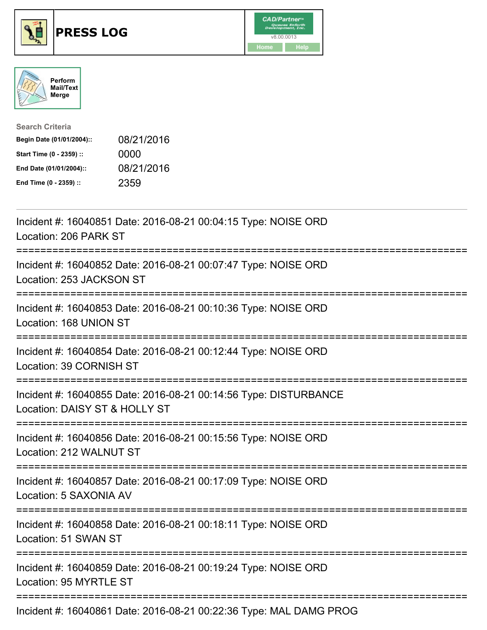





| <b>Search Criteria</b>    |            |
|---------------------------|------------|
| Begin Date (01/01/2004):: | 08/21/2016 |
| Start Time (0 - 2359) ::  | 0000       |
| End Date (01/01/2004)::   | 08/21/2016 |
| End Time (0 - 2359) ::    | 2359       |

| Incident #: 16040851 Date: 2016-08-21 00:04:15 Type: NOISE ORD<br>Location: 206 PARK ST                                                        |
|------------------------------------------------------------------------------------------------------------------------------------------------|
| Incident #: 16040852 Date: 2016-08-21 00:07:47 Type: NOISE ORD<br>Location: 253 JACKSON ST<br>----------------<br>============================ |
| Incident #: 16040853 Date: 2016-08-21 00:10:36 Type: NOISE ORD<br>Location: 168 UNION ST<br>.------------------                                |
| Incident #: 16040854 Date: 2016-08-21 00:12:44 Type: NOISE ORD<br>Location: 39 CORNISH ST                                                      |
| Incident #: 16040855 Date: 2016-08-21 00:14:56 Type: DISTURBANCE<br>Location: DAISY ST & HOLLY ST                                              |
| Incident #: 16040856 Date: 2016-08-21 00:15:56 Type: NOISE ORD<br>Location: 212 WALNUT ST                                                      |
| Incident #: 16040857 Date: 2016-08-21 00:17:09 Type: NOISE ORD<br>Location: 5 SAXONIA AV                                                       |
| Incident #: 16040858 Date: 2016-08-21 00:18:11 Type: NOISE ORD<br>Location: 51 SWAN ST                                                         |
| Incident #: 16040859 Date: 2016-08-21 00:19:24 Type: NOISE ORD<br>Location: 95 MYRTLE ST                                                       |
| Incident #: 16040861 Date: 2016-08-21 00:22:36 Type: MAL DAMG PROG                                                                             |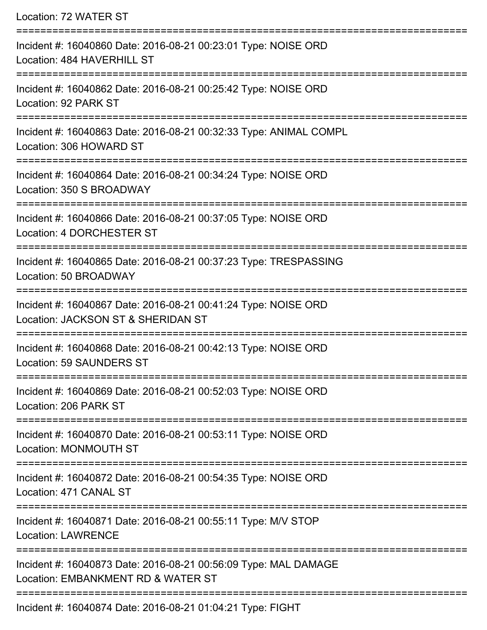| Location: 72 WATER ST                                                                                                         |
|-------------------------------------------------------------------------------------------------------------------------------|
| Incident #: 16040860 Date: 2016-08-21 00:23:01 Type: NOISE ORD<br>Location: 484 HAVERHILL ST                                  |
| Incident #: 16040862 Date: 2016-08-21 00:25:42 Type: NOISE ORD<br>Location: 92 PARK ST<br>=================================== |
| Incident #: 16040863 Date: 2016-08-21 00:32:33 Type: ANIMAL COMPL<br>Location: 306 HOWARD ST                                  |
| Incident #: 16040864 Date: 2016-08-21 00:34:24 Type: NOISE ORD<br>Location: 350 S BROADWAY                                    |
| Incident #: 16040866 Date: 2016-08-21 00:37:05 Type: NOISE ORD<br>Location: 4 DORCHESTER ST<br>====================           |
| Incident #: 16040865 Date: 2016-08-21 00:37:23 Type: TRESPASSING<br>Location: 50 BROADWAY                                     |
| Incident #: 16040867 Date: 2016-08-21 00:41:24 Type: NOISE ORD<br>Location: JACKSON ST & SHERIDAN ST                          |
| Incident #: 16040868 Date: 2016-08-21 00:42:13 Type: NOISE ORD<br>Location: 59 SAUNDERS ST                                    |
| Incident #: 16040869 Date: 2016-08-21 00:52:03 Type: NOISE ORD<br>Location: 206 PARK ST                                       |
| Incident #: 16040870 Date: 2016-08-21 00:53:11 Type: NOISE ORD<br>Location: MONMOUTH ST                                       |
| Incident #: 16040872 Date: 2016-08-21 00:54:35 Type: NOISE ORD<br>Location: 471 CANAL ST                                      |
| Incident #: 16040871 Date: 2016-08-21 00:55:11 Type: M/V STOP<br><b>Location: LAWRENCE</b>                                    |
| Incident #: 16040873 Date: 2016-08-21 00:56:09 Type: MAL DAMAGE<br>Location: EMBANKMENT RD & WATER ST                         |
|                                                                                                                               |

Incident #: 16040874 Date: 2016-08-21 01:04:21 Type: FIGHT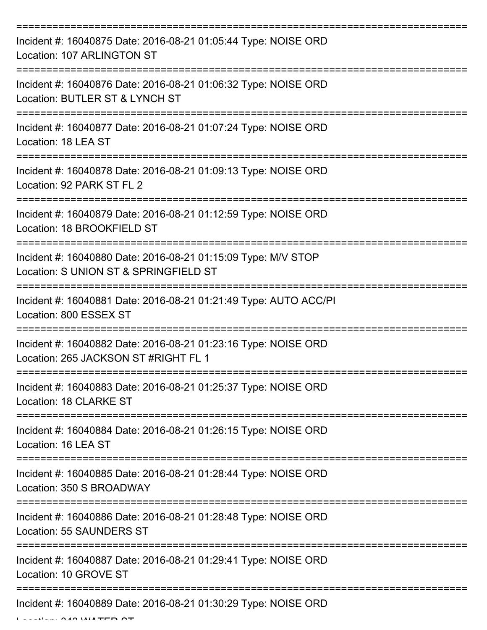| Incident #: 16040875 Date: 2016-08-21 01:05:44 Type: NOISE ORD<br>Location: 107 ARLINGTON ST                                              |
|-------------------------------------------------------------------------------------------------------------------------------------------|
| Incident #: 16040876 Date: 2016-08-21 01:06:32 Type: NOISE ORD<br>Location: BUTLER ST & LYNCH ST                                          |
| Incident #: 16040877 Date: 2016-08-21 01:07:24 Type: NOISE ORD<br>Location: 18 LEA ST                                                     |
| Incident #: 16040878 Date: 2016-08-21 01:09:13 Type: NOISE ORD<br>Location: 92 PARK ST FL 2                                               |
| Incident #: 16040879 Date: 2016-08-21 01:12:59 Type: NOISE ORD<br>Location: 18 BROOKFIELD ST                                              |
| :==============================<br>Incident #: 16040880 Date: 2016-08-21 01:15:09 Type: M/V STOP<br>Location: S UNION ST & SPRINGFIELD ST |
| Incident #: 16040881 Date: 2016-08-21 01:21:49 Type: AUTO ACC/PI<br>Location: 800 ESSEX ST                                                |
| Incident #: 16040882 Date: 2016-08-21 01:23:16 Type: NOISE ORD<br>Location: 265 JACKSON ST #RIGHT FL 1                                    |
| Incident #: 16040883 Date: 2016-08-21 01:25:37 Type: NOISE ORD<br>Location: 18 CLARKE ST                                                  |
| Incident #: 16040884 Date: 2016-08-21 01:26:15 Type: NOISE ORD<br>Location: 16 LEA ST                                                     |
| ===========================<br>Incident #: 16040885 Date: 2016-08-21 01:28:44 Type: NOISE ORD<br>Location: 350 S BROADWAY                 |
| Incident #: 16040886 Date: 2016-08-21 01:28:48 Type: NOISE ORD<br><b>Location: 55 SAUNDERS ST</b>                                         |
| Incident #: 16040887 Date: 2016-08-21 01:29:41 Type: NOISE ORD<br>Location: 10 GROVE ST                                                   |
| Incident #: 16040889 Date: 2016-08-21 01:30:29 Type: NOISE ORD                                                                            |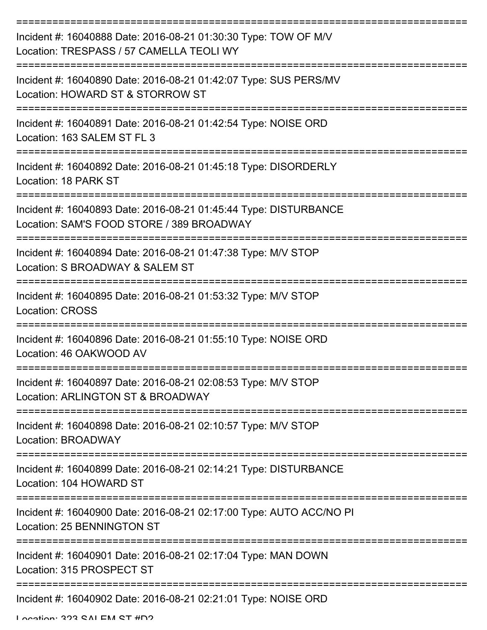| Incident #: 16040888 Date: 2016-08-21 01:30:30 Type: TOW OF M/V<br>Location: TRESPASS / 57 CAMELLA TEOLI WY   |
|---------------------------------------------------------------------------------------------------------------|
| Incident #: 16040890 Date: 2016-08-21 01:42:07 Type: SUS PERS/MV<br>Location: HOWARD ST & STORROW ST          |
| Incident #: 16040891 Date: 2016-08-21 01:42:54 Type: NOISE ORD<br>Location: 163 SALEM ST FL 3                 |
| Incident #: 16040892 Date: 2016-08-21 01:45:18 Type: DISORDERLY<br>Location: 18 PARK ST                       |
| Incident #: 16040893 Date: 2016-08-21 01:45:44 Type: DISTURBANCE<br>Location: SAM'S FOOD STORE / 389 BROADWAY |
| Incident #: 16040894 Date: 2016-08-21 01:47:38 Type: M/V STOP<br>Location: S BROADWAY & SALEM ST              |
| Incident #: 16040895 Date: 2016-08-21 01:53:32 Type: M/V STOP<br><b>Location: CROSS</b>                       |
| Incident #: 16040896 Date: 2016-08-21 01:55:10 Type: NOISE ORD<br>Location: 46 OAKWOOD AV                     |
| Incident #: 16040897 Date: 2016-08-21 02:08:53 Type: M/V STOP<br>Location: ARLINGTON ST & BROADWAY            |
| Incident #: 16040898 Date: 2016-08-21 02:10:57 Type: M/V STOP<br>Location: BROADWAY                           |
| Incident #: 16040899 Date: 2016-08-21 02:14:21 Type: DISTURBANCE<br>Location: 104 HOWARD ST                   |
| Incident #: 16040900 Date: 2016-08-21 02:17:00 Type: AUTO ACC/NO PI<br>Location: 25 BENNINGTON ST             |
| Incident #: 16040901 Date: 2016-08-21 02:17:04 Type: MAN DOWN<br>Location: 315 PROSPECT ST                    |
| Incident #: 16040902 Date: 2016-08-21 02:21:01 Type: NOISE ORD                                                |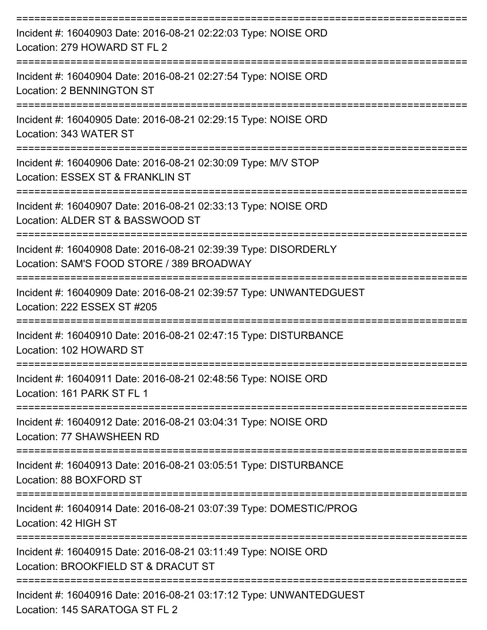| Incident #: 16040903 Date: 2016-08-21 02:22:03 Type: NOISE ORD<br>Location: 279 HOWARD ST FL 2               |
|--------------------------------------------------------------------------------------------------------------|
| Incident #: 16040904 Date: 2016-08-21 02:27:54 Type: NOISE ORD<br>Location: 2 BENNINGTON ST                  |
| Incident #: 16040905 Date: 2016-08-21 02:29:15 Type: NOISE ORD<br>Location: 343 WATER ST<br>---------------  |
| Incident #: 16040906 Date: 2016-08-21 02:30:09 Type: M/V STOP<br>Location: ESSEX ST & FRANKLIN ST            |
| Incident #: 16040907 Date: 2016-08-21 02:33:13 Type: NOISE ORD<br>Location: ALDER ST & BASSWOOD ST           |
| Incident #: 16040908 Date: 2016-08-21 02:39:39 Type: DISORDERLY<br>Location: SAM'S FOOD STORE / 389 BROADWAY |
| Incident #: 16040909 Date: 2016-08-21 02:39:57 Type: UNWANTEDGUEST<br>Location: 222 ESSEX ST #205            |
| Incident #: 16040910 Date: 2016-08-21 02:47:15 Type: DISTURBANCE<br>Location: 102 HOWARD ST                  |
| Incident #: 16040911 Date: 2016-08-21 02:48:56 Type: NOISE ORD<br>Location: 161 PARK ST FL 1                 |
| Incident #: 16040912 Date: 2016-08-21 03:04:31 Type: NOISE ORD<br>Location: 77 SHAWSHEEN RD                  |
| Incident #: 16040913 Date: 2016-08-21 03:05:51 Type: DISTURBANCE<br>Location: 88 BOXFORD ST                  |
| Incident #: 16040914 Date: 2016-08-21 03:07:39 Type: DOMESTIC/PROG<br>Location: 42 HIGH ST                   |
| Incident #: 16040915 Date: 2016-08-21 03:11:49 Type: NOISE ORD<br>Location: BROOKFIELD ST & DRACUT ST        |
| Incident #: 16040916 Date: 2016-08-21 03:17:12 Type: UNWANTEDGUEST<br>Location: 145 SARATOGA ST FL 2         |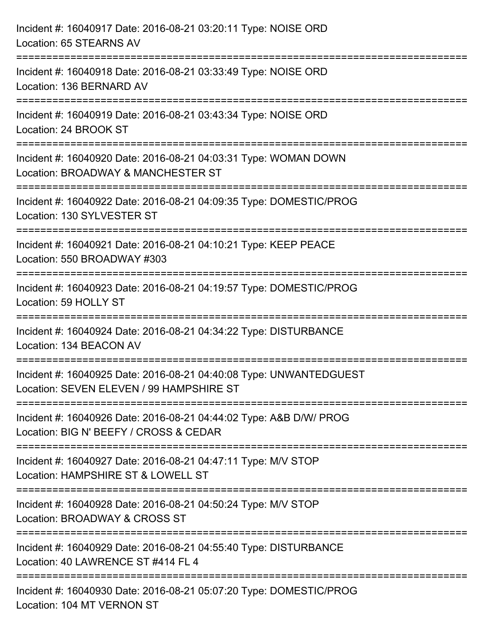| Incident #: 16040917 Date: 2016-08-21 03:20:11 Type: NOISE ORD<br>Location: 65 STEARNS AV                                                                           |
|---------------------------------------------------------------------------------------------------------------------------------------------------------------------|
| :======================<br>Incident #: 16040918 Date: 2016-08-21 03:33:49 Type: NOISE ORD<br>Location: 136 BERNARD AV                                               |
| Incident #: 16040919 Date: 2016-08-21 03:43:34 Type: NOISE ORD<br>Location: 24 BROOK ST                                                                             |
| Incident #: 16040920 Date: 2016-08-21 04:03:31 Type: WOMAN DOWN<br>Location: BROADWAY & MANCHESTER ST                                                               |
| Incident #: 16040922 Date: 2016-08-21 04:09:35 Type: DOMESTIC/PROG<br>Location: 130 SYLVESTER ST                                                                    |
| Incident #: 16040921 Date: 2016-08-21 04:10:21 Type: KEEP PEACE<br>Location: 550 BROADWAY #303                                                                      |
| Incident #: 16040923 Date: 2016-08-21 04:19:57 Type: DOMESTIC/PROG<br>Location: 59 HOLLY ST                                                                         |
| ====================================<br>============================<br>Incident #: 16040924 Date: 2016-08-21 04:34:22 Type: DISTURBANCE<br>Location: 134 BEACON AV |
| Incident #: 16040925 Date: 2016-08-21 04:40:08 Type: UNWANTEDGUEST<br>Location: SEVEN ELEVEN / 99 HAMPSHIRE ST                                                      |
| Incident #: 16040926 Date: 2016-08-21 04:44:02 Type: A&B D/W/ PROG<br>Location: BIG N' BEEFY / CROSS & CEDAR                                                        |
| Incident #: 16040927 Date: 2016-08-21 04:47:11 Type: M/V STOP<br>Location: HAMPSHIRE ST & LOWELL ST                                                                 |
| Incident #: 16040928 Date: 2016-08-21 04:50:24 Type: M/V STOP<br>Location: BROADWAY & CROSS ST                                                                      |
| Incident #: 16040929 Date: 2016-08-21 04:55:40 Type: DISTURBANCE<br>Location: 40 LAWRENCE ST #414 FL 4                                                              |
| Incident #: 16040930 Date: 2016-08-21 05:07:20 Type: DOMESTIC/PROG<br>Location: 104 MT VERNON ST                                                                    |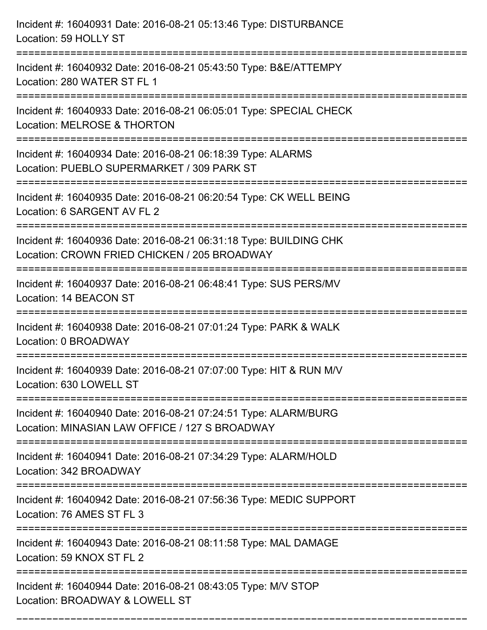| Incident #: 16040931 Date: 2016-08-21 05:13:46 Type: DISTURBANCE<br>Location: 59 HOLLY ST                                     |
|-------------------------------------------------------------------------------------------------------------------------------|
| Incident #: 16040932 Date: 2016-08-21 05:43:50 Type: B&E/ATTEMPY<br>Location: 280 WATER ST FL 1                               |
| Incident #: 16040933 Date: 2016-08-21 06:05:01 Type: SPECIAL CHECK<br>Location: MELROSE & THORTON                             |
| Incident #: 16040934 Date: 2016-08-21 06:18:39 Type: ALARMS<br>Location: PUEBLO SUPERMARKET / 309 PARK ST                     |
| Incident #: 16040935 Date: 2016-08-21 06:20:54 Type: CK WELL BEING<br>Location: 6 SARGENT AV FL 2                             |
| Incident #: 16040936 Date: 2016-08-21 06:31:18 Type: BUILDING CHK<br>Location: CROWN FRIED CHICKEN / 205 BROADWAY             |
| Incident #: 16040937 Date: 2016-08-21 06:48:41 Type: SUS PERS/MV<br>Location: 14 BEACON ST<br>=============================== |
| Incident #: 16040938 Date: 2016-08-21 07:01:24 Type: PARK & WALK<br>Location: 0 BROADWAY                                      |
| Incident #: 16040939 Date: 2016-08-21 07:07:00 Type: HIT & RUN M/V<br>Location: 630 LOWELL ST                                 |
| Incident #: 16040940 Date: 2016-08-21 07:24:51 Type: ALARM/BURG<br>Location: MINASIAN LAW OFFICE / 127 S BROADWAY             |
| Incident #: 16040941 Date: 2016-08-21 07:34:29 Type: ALARM/HOLD<br>Location: 342 BROADWAY                                     |
| Incident #: 16040942 Date: 2016-08-21 07:56:36 Type: MEDIC SUPPORT<br>Location: 76 AMES ST FL 3                               |
| Incident #: 16040943 Date: 2016-08-21 08:11:58 Type: MAL DAMAGE<br>Location: 59 KNOX ST FL 2                                  |
| Incident #: 16040944 Date: 2016-08-21 08:43:05 Type: M/V STOP<br>Location: BROADWAY & LOWELL ST                               |

===========================================================================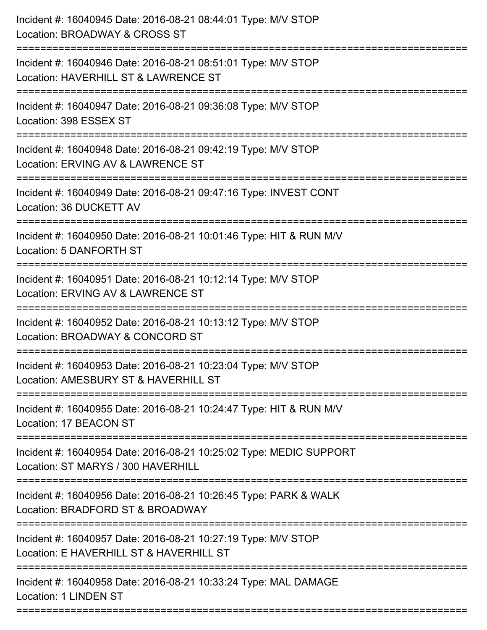| Incident #: 16040945 Date: 2016-08-21 08:44:01 Type: M/V STOP<br>Location: BROADWAY & CROSS ST                            |
|---------------------------------------------------------------------------------------------------------------------------|
| Incident #: 16040946 Date: 2016-08-21 08:51:01 Type: M/V STOP<br>Location: HAVERHILL ST & LAWRENCE ST                     |
| Incident #: 16040947 Date: 2016-08-21 09:36:08 Type: M/V STOP<br>Location: 398 ESSEX ST                                   |
| Incident #: 16040948 Date: 2016-08-21 09:42:19 Type: M/V STOP<br>Location: ERVING AV & LAWRENCE ST                        |
| Incident #: 16040949 Date: 2016-08-21 09:47:16 Type: INVEST CONT<br>Location: 36 DUCKETT AV                               |
| Incident #: 16040950 Date: 2016-08-21 10:01:46 Type: HIT & RUN M/V<br>Location: 5 DANFORTH ST                             |
| Incident #: 16040951 Date: 2016-08-21 10:12:14 Type: M/V STOP<br>Location: ERVING AV & LAWRENCE ST<br>------------------- |
| Incident #: 16040952 Date: 2016-08-21 10:13:12 Type: M/V STOP<br>Location: BROADWAY & CONCORD ST                          |
| Incident #: 16040953 Date: 2016-08-21 10:23:04 Type: M/V STOP<br>Location: AMESBURY ST & HAVERHILL ST                     |
| Incident #: 16040955 Date: 2016-08-21 10:24:47 Type: HIT & RUN M/V<br>Location: 17 BEACON ST                              |
| Incident #: 16040954 Date: 2016-08-21 10:25:02 Type: MEDIC SUPPORT<br>Location: ST MARYS / 300 HAVERHILL                  |
| Incident #: 16040956 Date: 2016-08-21 10:26:45 Type: PARK & WALK<br>Location: BRADFORD ST & BROADWAY                      |
| Incident #: 16040957 Date: 2016-08-21 10:27:19 Type: M/V STOP<br>Location: E HAVERHILL ST & HAVERHILL ST                  |
| Incident #: 16040958 Date: 2016-08-21 10:33:24 Type: MAL DAMAGE<br><b>Location: 1 LINDEN ST</b>                           |
|                                                                                                                           |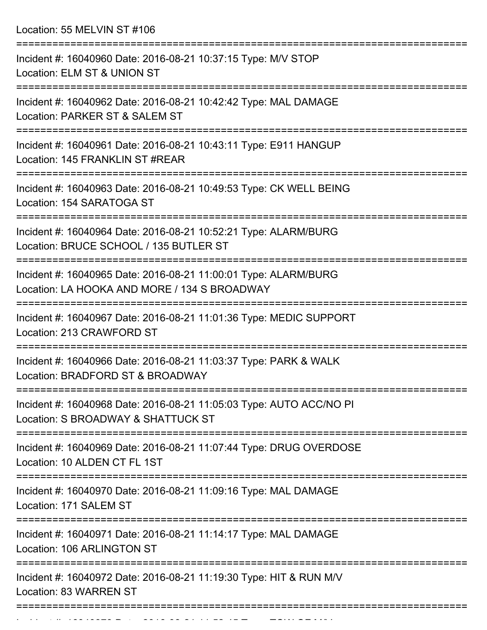Location: 55 MELVIN ST #106

| Incident #: 16040960 Date: 2016-08-21 10:37:15 Type: M/V STOP<br>Location: ELM ST & UNION ST                    |
|-----------------------------------------------------------------------------------------------------------------|
| Incident #: 16040962 Date: 2016-08-21 10:42:42 Type: MAL DAMAGE<br>Location: PARKER ST & SALEM ST               |
| Incident #: 16040961 Date: 2016-08-21 10:43:11 Type: E911 HANGUP<br>Location: 145 FRANKLIN ST #REAR             |
| Incident #: 16040963 Date: 2016-08-21 10:49:53 Type: CK WELL BEING<br>Location: 154 SARATOGA ST                 |
| Incident #: 16040964 Date: 2016-08-21 10:52:21 Type: ALARM/BURG<br>Location: BRUCE SCHOOL / 135 BUTLER ST       |
| Incident #: 16040965 Date: 2016-08-21 11:00:01 Type: ALARM/BURG<br>Location: LA HOOKA AND MORE / 134 S BROADWAY |
| Incident #: 16040967 Date: 2016-08-21 11:01:36 Type: MEDIC SUPPORT<br>Location: 213 CRAWFORD ST                 |
| Incident #: 16040966 Date: 2016-08-21 11:03:37 Type: PARK & WALK<br>Location: BRADFORD ST & BROADWAY            |
| Incident #: 16040968 Date: 2016-08-21 11:05:03 Type: AUTO ACC/NO PI<br>Location: S BROADWAY & SHATTUCK ST       |
| Incident #: 16040969 Date: 2016-08-21 11:07:44 Type: DRUG OVERDOSE<br>Location: 10 ALDEN CT FL 1ST              |
| Incident #: 16040970 Date: 2016-08-21 11:09:16 Type: MAL DAMAGE<br>Location: 171 SALEM ST                       |
| Incident #: 16040971 Date: 2016-08-21 11:14:17 Type: MAL DAMAGE<br>Location: 106 ARLINGTON ST                   |
| Incident #: 16040972 Date: 2016-08-21 11:19:30 Type: HIT & RUN M/V<br>Location: 83 WARREN ST                    |
|                                                                                                                 |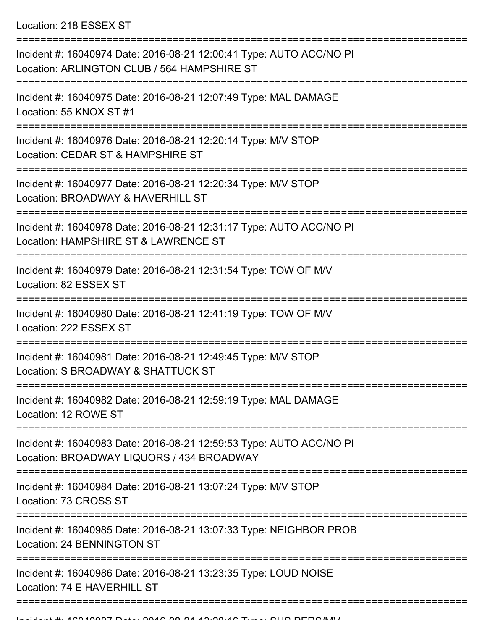Location: 218 ESSEX ST

| Incident #: 16040974 Date: 2016-08-21 12:00:41 Type: AUTO ACC/NO PI<br>Location: ARLINGTON CLUB / 564 HAMPSHIRE ST        |
|---------------------------------------------------------------------------------------------------------------------------|
| Incident #: 16040975 Date: 2016-08-21 12:07:49 Type: MAL DAMAGE<br>Location: 55 KNOX ST #1                                |
| Incident #: 16040976 Date: 2016-08-21 12:20:14 Type: M/V STOP<br>Location: CEDAR ST & HAMPSHIRE ST                        |
| Incident #: 16040977 Date: 2016-08-21 12:20:34 Type: M/V STOP<br>Location: BROADWAY & HAVERHILL ST                        |
| Incident #: 16040978 Date: 2016-08-21 12:31:17 Type: AUTO ACC/NO PI<br>Location: HAMPSHIRE ST & LAWRENCE ST<br>========== |
| Incident #: 16040979 Date: 2016-08-21 12:31:54 Type: TOW OF M/V<br>Location: 82 ESSEX ST<br>==================            |
| Incident #: 16040980 Date: 2016-08-21 12:41:19 Type: TOW OF M/V<br>Location: 222 ESSEX ST                                 |
| Incident #: 16040981 Date: 2016-08-21 12:49:45 Type: M/V STOP<br>Location: S BROADWAY & SHATTUCK ST                       |
| Incident #: 16040982 Date: 2016-08-21 12:59:19 Type: MAL DAMAGE<br>Location: 12 ROWE ST                                   |
| Incident #: 16040983 Date: 2016-08-21 12:59:53 Type: AUTO ACC/NO PI<br>Location: BROADWAY LIQUORS / 434 BROADWAY          |
| Incident #: 16040984 Date: 2016-08-21 13:07:24 Type: M/V STOP<br>Location: 73 CROSS ST                                    |
| Incident #: 16040985 Date: 2016-08-21 13:07:33 Type: NEIGHBOR PROB<br>Location: 24 BENNINGTON ST                          |
| Incident #: 16040986 Date: 2016-08-21 13:23:35 Type: LOUD NOISE<br>Location: 74 E HAVERHILL ST                            |
|                                                                                                                           |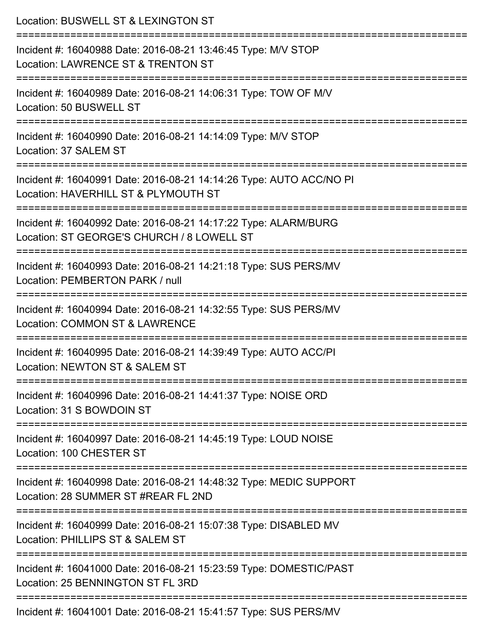| Location: BUSWELL ST & LEXINGTON ST                                                                                                            |
|------------------------------------------------------------------------------------------------------------------------------------------------|
| Incident #: 16040988 Date: 2016-08-21 13:46:45 Type: M/V STOP<br>Location: LAWRENCE ST & TRENTON ST<br>----------------------                  |
| Incident #: 16040989 Date: 2016-08-21 14:06:31 Type: TOW OF M/V<br>Location: 50 BUSWELL ST                                                     |
| Incident #: 16040990 Date: 2016-08-21 14:14:09 Type: M/V STOP<br>Location: 37 SALEM ST                                                         |
| Incident #: 16040991 Date: 2016-08-21 14:14:26 Type: AUTO ACC/NO PI<br>Location: HAVERHILL ST & PLYMOUTH ST                                    |
| Incident #: 16040992 Date: 2016-08-21 14:17:22 Type: ALARM/BURG<br>Location: ST GEORGE'S CHURCH / 8 LOWELL ST<br>:============================ |
| Incident #: 16040993 Date: 2016-08-21 14:21:18 Type: SUS PERS/MV<br>Location: PEMBERTON PARK / null                                            |
| Incident #: 16040994 Date: 2016-08-21 14:32:55 Type: SUS PERS/MV<br>Location: COMMON ST & LAWRENCE                                             |
| Incident #: 16040995 Date: 2016-08-21 14:39:49 Type: AUTO ACC/PI<br>Location: NEWTON ST & SALEM ST                                             |
| Incident #: 16040996 Date: 2016-08-21 14:41:37 Type: NOISE ORD<br>Location: 31 S BOWDOIN ST                                                    |
| Incident #: 16040997 Date: 2016-08-21 14:45:19 Type: LOUD NOISE<br>Location: 100 CHESTER ST                                                    |
| Incident #: 16040998 Date: 2016-08-21 14:48:32 Type: MEDIC SUPPORT<br>Location: 28 SUMMER ST #REAR FL 2ND                                      |
| Incident #: 16040999 Date: 2016-08-21 15:07:38 Type: DISABLED MV<br>Location: PHILLIPS ST & SALEM ST                                           |
| Incident #: 16041000 Date: 2016-08-21 15:23:59 Type: DOMESTIC/PAST<br>Location: 25 BENNINGTON ST FL 3RD                                        |
| Incident #: 16041001 Date: 2016-08-21 15:41:57 Type: SUS PERS/MV                                                                               |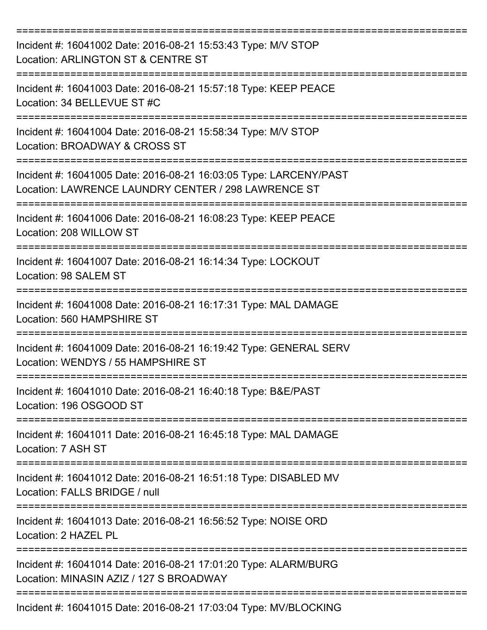| Incident #: 16041002 Date: 2016-08-21 15:53:43 Type: M/V STOP<br>Location: ARLINGTON ST & CENTRE ST                      |
|--------------------------------------------------------------------------------------------------------------------------|
| Incident #: 16041003 Date: 2016-08-21 15:57:18 Type: KEEP PEACE<br>Location: 34 BELLEVUE ST #C                           |
| Incident #: 16041004 Date: 2016-08-21 15:58:34 Type: M/V STOP<br>Location: BROADWAY & CROSS ST                           |
| Incident #: 16041005 Date: 2016-08-21 16:03:05 Type: LARCENY/PAST<br>Location: LAWRENCE LAUNDRY CENTER / 298 LAWRENCE ST |
| Incident #: 16041006 Date: 2016-08-21 16:08:23 Type: KEEP PEACE<br>Location: 208 WILLOW ST                               |
| Incident #: 16041007 Date: 2016-08-21 16:14:34 Type: LOCKOUT<br>Location: 98 SALEM ST                                    |
| Incident #: 16041008 Date: 2016-08-21 16:17:31 Type: MAL DAMAGE<br>Location: 560 HAMPSHIRE ST                            |
| Incident #: 16041009 Date: 2016-08-21 16:19:42 Type: GENERAL SERV<br>Location: WENDYS / 55 HAMPSHIRE ST                  |
| Incident #: 16041010 Date: 2016-08-21 16:40:18 Type: B&E/PAST<br>Location: 196 OSGOOD ST                                 |
| Incident #: 16041011 Date: 2016-08-21 16:45:18 Type: MAL DAMAGE<br>Location: 7 ASH ST                                    |
| Incident #: 16041012 Date: 2016-08-21 16:51:18 Type: DISABLED MV<br>Location: FALLS BRIDGE / null                        |
| Incident #: 16041013 Date: 2016-08-21 16:56:52 Type: NOISE ORD<br>Location: 2 HAZEL PL                                   |
| Incident #: 16041014 Date: 2016-08-21 17:01:20 Type: ALARM/BURG<br>Location: MINASIN AZIZ / 127 S BROADWAY               |
| Incident #: 16041015 Date: 2016-08-21 17:03:04 Type: MV/BLOCKING                                                         |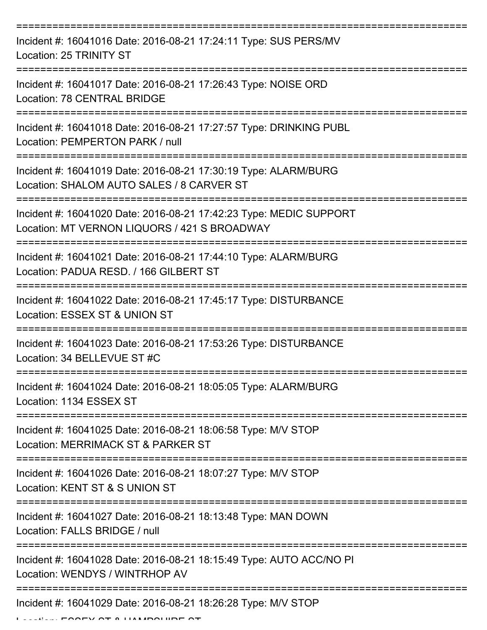| Incident #: 16041016 Date: 2016-08-21 17:24:11 Type: SUS PERS/MV<br>Location: 25 TRINITY ST                        |
|--------------------------------------------------------------------------------------------------------------------|
| Incident #: 16041017 Date: 2016-08-21 17:26:43 Type: NOISE ORD<br><b>Location: 78 CENTRAL BRIDGE</b>               |
| Incident #: 16041018 Date: 2016-08-21 17:27:57 Type: DRINKING PUBL<br>Location: PEMPERTON PARK / null              |
| Incident #: 16041019 Date: 2016-08-21 17:30:19 Type: ALARM/BURG<br>Location: SHALOM AUTO SALES / 8 CARVER ST       |
| Incident #: 16041020 Date: 2016-08-21 17:42:23 Type: MEDIC SUPPORT<br>Location: MT VERNON LIQUORS / 421 S BROADWAY |
| Incident #: 16041021 Date: 2016-08-21 17:44:10 Type: ALARM/BURG<br>Location: PADUA RESD. / 166 GILBERT ST          |
| Incident #: 16041022 Date: 2016-08-21 17:45:17 Type: DISTURBANCE<br>Location: ESSEX ST & UNION ST<br>============  |
| Incident #: 16041023 Date: 2016-08-21 17:53:26 Type: DISTURBANCE<br>Location: 34 BELLEVUE ST #C                    |
| Incident #: 16041024 Date: 2016-08-21 18:05:05 Type: ALARM/BURG<br>Location: 1134 ESSEX ST                         |
| Incident #: 16041025 Date: 2016-08-21 18:06:58 Type: M/V STOP<br>Location: MERRIMACK ST & PARKER ST                |
| Incident #: 16041026 Date: 2016-08-21 18:07:27 Type: M/V STOP<br>Location: KENT ST & S UNION ST                    |
| Incident #: 16041027 Date: 2016-08-21 18:13:48 Type: MAN DOWN<br>Location: FALLS BRIDGE / null                     |
| Incident #: 16041028 Date: 2016-08-21 18:15:49 Type: AUTO ACC/NO PI<br>Location: WENDYS / WINTRHOP AV              |
| Incident #: 16041029 Date: 2016-08-21 18:26:28 Type: M/V STOP                                                      |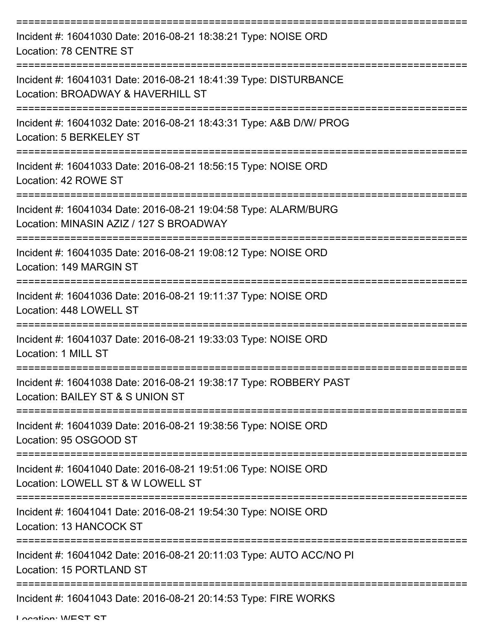| Incident #: 16041030 Date: 2016-08-21 18:38:21 Type: NOISE ORD<br>Location: 78 CENTRE ST                       |
|----------------------------------------------------------------------------------------------------------------|
| Incident #: 16041031 Date: 2016-08-21 18:41:39 Type: DISTURBANCE<br>Location: BROADWAY & HAVERHILL ST          |
| Incident #: 16041032 Date: 2016-08-21 18:43:31 Type: A&B D/W/ PROG<br>Location: 5 BERKELEY ST                  |
| Incident #: 16041033 Date: 2016-08-21 18:56:15 Type: NOISE ORD<br>Location: 42 ROWE ST<br>-------------------- |
| Incident #: 16041034 Date: 2016-08-21 19:04:58 Type: ALARM/BURG<br>Location: MINASIN AZIZ / 127 S BROADWAY     |
| Incident #: 16041035 Date: 2016-08-21 19:08:12 Type: NOISE ORD<br>Location: 149 MARGIN ST                      |
| Incident #: 16041036 Date: 2016-08-21 19:11:37 Type: NOISE ORD<br>Location: 448 LOWELL ST                      |
| Incident #: 16041037 Date: 2016-08-21 19:33:03 Type: NOISE ORD<br>Location: 1 MILL ST                          |
| Incident #: 16041038 Date: 2016-08-21 19:38:17 Type: ROBBERY PAST<br>Location: BAILEY ST & S UNION ST          |
| Incident #: 16041039 Date: 2016-08-21 19:38:56 Type: NOISE ORD<br>Location: 95 OSGOOD ST                       |
| Incident #: 16041040 Date: 2016-08-21 19:51:06 Type: NOISE ORD<br>Location: LOWELL ST & W LOWELL ST            |
| Incident #: 16041041 Date: 2016-08-21 19:54:30 Type: NOISE ORD<br>Location: 13 HANCOCK ST                      |
| Incident #: 16041042 Date: 2016-08-21 20:11:03 Type: AUTO ACC/NO PI<br>Location: 15 PORTLAND ST                |
| Incident #: 16041043 Date: 2016-08-21 20:14:53 Type: FIRE WORKS                                                |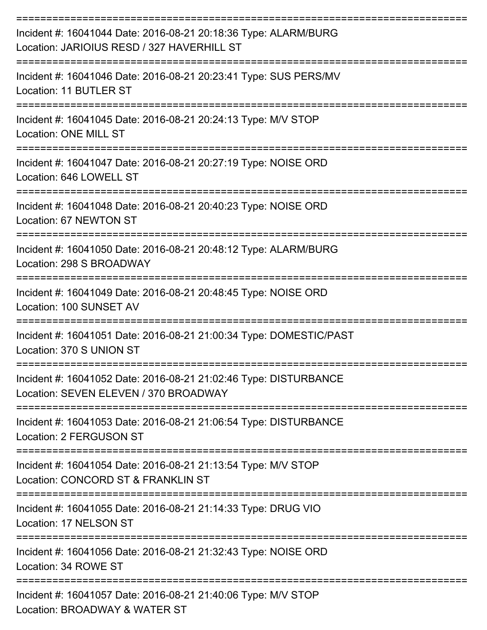| Incident #: 16041044 Date: 2016-08-21 20:18:36 Type: ALARM/BURG<br>Location: JARIOIUS RESD / 327 HAVERHILL ST |
|---------------------------------------------------------------------------------------------------------------|
| Incident #: 16041046 Date: 2016-08-21 20:23:41 Type: SUS PERS/MV<br>Location: 11 BUTLER ST                    |
| Incident #: 16041045 Date: 2016-08-21 20:24:13 Type: M/V STOP<br><b>Location: ONE MILL ST</b>                 |
| Incident #: 16041047 Date: 2016-08-21 20:27:19 Type: NOISE ORD<br>Location: 646 LOWELL ST                     |
| Incident #: 16041048 Date: 2016-08-21 20:40:23 Type: NOISE ORD<br>Location: 67 NEWTON ST                      |
| Incident #: 16041050 Date: 2016-08-21 20:48:12 Type: ALARM/BURG<br>Location: 298 S BROADWAY                   |
| Incident #: 16041049 Date: 2016-08-21 20:48:45 Type: NOISE ORD<br>Location: 100 SUNSET AV                     |
| Incident #: 16041051 Date: 2016-08-21 21:00:34 Type: DOMESTIC/PAST<br>Location: 370 S UNION ST                |
| Incident #: 16041052 Date: 2016-08-21 21:02:46 Type: DISTURBANCE<br>Location: SEVEN ELEVEN / 370 BROADWAY     |
| Incident #: 16041053 Date: 2016-08-21 21:06:54 Type: DISTURBANCE<br><b>Location: 2 FERGUSON ST</b>            |
| Incident #: 16041054 Date: 2016-08-21 21:13:54 Type: M/V STOP<br>Location: CONCORD ST & FRANKLIN ST           |
| Incident #: 16041055 Date: 2016-08-21 21:14:33 Type: DRUG VIO<br>Location: 17 NELSON ST                       |
| Incident #: 16041056 Date: 2016-08-21 21:32:43 Type: NOISE ORD<br>Location: 34 ROWE ST                        |
| Incident #: 16041057 Date: 2016-08-21 21:40:06 Type: M/V STOP<br>Location: BROADWAY & WATER ST                |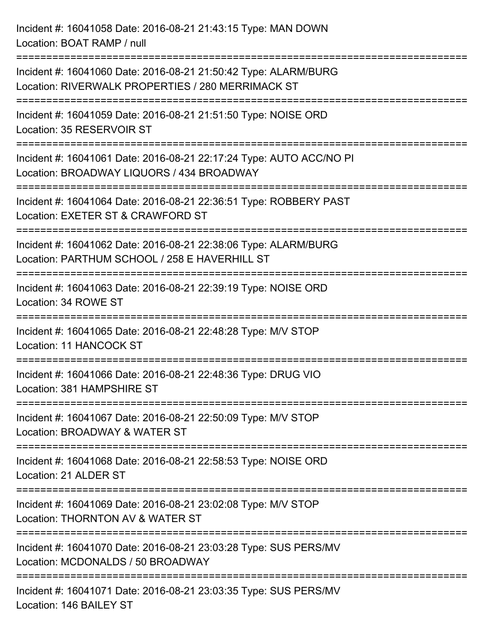Incident #: 16041058 Date: 2016-08-21 21:43:15 Type: MAN DOWN Location: BOAT RAMP / null =========================================================================== Incident #: 16041060 Date: 2016-08-21 21:50:42 Type: ALARM/BURG Location: RIVERWALK PROPERTIES / 280 MERRIMACK ST =========================================================================== Incident #: 16041059 Date: 2016-08-21 21:51:50 Type: NOISE ORD Location: 35 RESERVOIR ST =========================================================================== Incident #: 16041061 Date: 2016-08-21 22:17:24 Type: AUTO ACC/NO PI Location: BROADWAY LIQUORS / 434 BROADWAY =========================================================================== Incident #: 16041064 Date: 2016-08-21 22:36:51 Type: ROBBERY PAST Location: EXETER ST & CRAWFORD ST =========================================================================== Incident #: 16041062 Date: 2016-08-21 22:38:06 Type: ALARM/BURG Location: PARTHUM SCHOOL / 258 E HAVERHILL ST =========================================================================== Incident #: 16041063 Date: 2016-08-21 22:39:19 Type: NOISE ORD Location: 34 ROWE ST =========================================================================== Incident #: 16041065 Date: 2016-08-21 22:48:28 Type: M/V STOP Location: 11 HANCOCK ST =========================================================================== Incident #: 16041066 Date: 2016-08-21 22:48:36 Type: DRUG VIO Location: 381 HAMPSHIRE ST =========================================================================== Incident #: 16041067 Date: 2016-08-21 22:50:09 Type: M/V STOP Location: BROADWAY & WATER ST =========================================================================== Incident #: 16041068 Date: 2016-08-21 22:58:53 Type: NOISE ORD Location: 21 ALDER ST =========================================================================== Incident #: 16041069 Date: 2016-08-21 23:02:08 Type: M/V STOP Location: THORNTON AV & WATER ST =========================================================================== Incident #: 16041070 Date: 2016-08-21 23:03:28 Type: SUS PERS/MV Location: MCDONALDS / 50 BROADWAY =========================================================================== Incident #: 16041071 Date: 2016-08-21 23:03:35 Type: SUS PERS/MV Location: 146 BAILEY ST